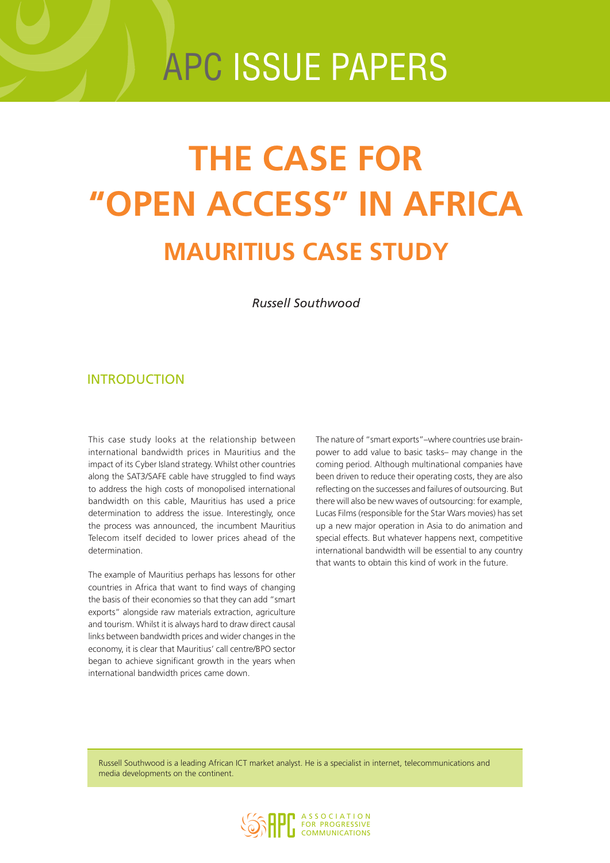# apc issue papers

# **The case for "Open Access" in Africa Mauritius case study**

*Russell Southwood*

## **INTRODUCTION**

This case study looks at the relationship between international bandwidth prices in Mauritius and the impact of its Cyber Island strategy. Whilst other countries along the SAT3/SAFE cable have struggled to find ways to address the high costs of monopolised international bandwidth on this cable, Mauritius has used a price determination to address the issue. Interestingly, once the process was announced, the incumbent Mauritius Telecom itself decided to lower prices ahead of the determination.

The example of Mauritius perhaps has lessons for other countries in Africa that want to find ways of changing the basis of their economies so that they can add "smart exports" alongside raw materials extraction, agriculture and tourism. Whilst it is always hard to draw direct causal links between bandwidth prices and wider changes in the economy, it is clear that Mauritius' call centre/BPO sector began to achieve significant growth in the years when international bandwidth prices came down.

The nature of "smart exports"–where countries use brainpower to add value to basic tasks– may change in the coming period. Although multinational companies have been driven to reduce their operating costs, they are also reflecting on the successes and failures of outsourcing. But there will also be new waves of outsourcing: for example, Lucas Films (responsible for the Star Wars movies) has set up a new major operation in Asia to do animation and special effects. But whatever happens next, competitive international bandwidth will be essential to any country that wants to obtain this kind of work in the future.

Russell Southwood is a leading African ICT market analyst. He is a specialist in internet, telecommunications and media developments on the continent.

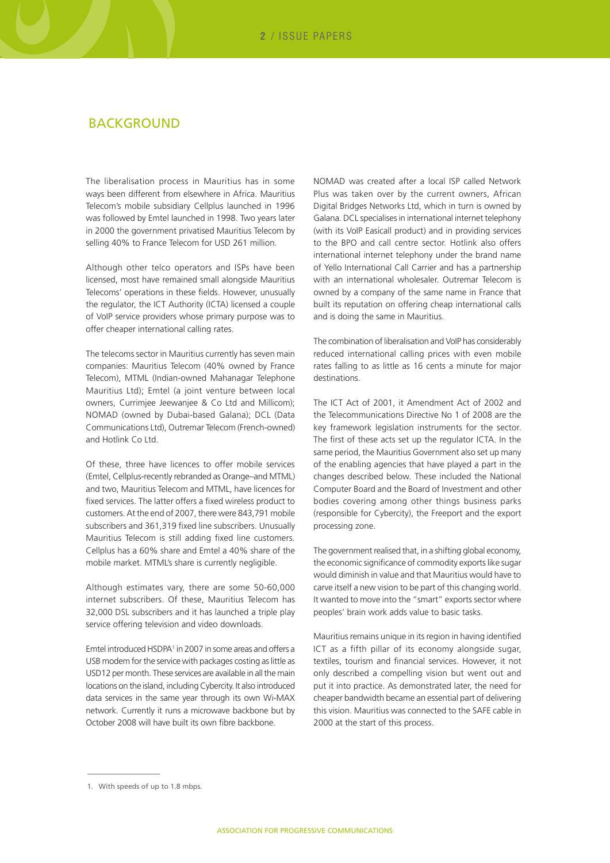#### **BACKGROUND**

The liberalisation process in Mauritius has in some ways been different from elsewhere in Africa. Mauritius Telecom's mobile subsidiary Cellplus launched in 1996 was followed by Emtel launched in 1998. Two years later in 2000 the government privatised Mauritius Telecom by selling 40% to France Telecom for USD 261 million.

Although other telco operators and ISPs have been licensed, most have remained small alongside Mauritius Telecoms' operations in these fields. However, unusually the regulator, the ICT Authority (ICTA) licensed a couple of VoIP service providers whose primary purpose was to offer cheaper international calling rates.

The telecoms sector in Mauritius currently has seven main companies: Mauritius Telecom (40% owned by France Telecom), MTML (Indian-owned Mahanagar Telephone Mauritius Ltd); Emtel (a joint venture between local owners, Currimjee Jeewanjee & Co Ltd and Millicom); NOMAD (owned by Dubai-based Galana); DCL (Data Communications Ltd), Outremar Telecom (French-owned) and Hotlink Co Ltd.

Of these, three have licences to offer mobile services (Emtel, Cellplus-recently rebranded as Orange–and MTML) and two, Mauritius Telecom and MTML, have licences for fixed services. The latter offers a fixed wireless product to customers. At the end of 2007, there were 843,791 mobile subscribers and 361,319 fixed line subscribers. Unusually Mauritius Telecom is still adding fixed line customers. Cellplus has a 60% share and Emtel a 40% share of the mobile market. MTML's share is currently negligible.

Although estimates vary, there are some 50-60,000 internet subscribers. Of these, Mauritius Telecom has 32,000 DSL subscribers and it has launched a triple play service offering television and video downloads.

Emtel introduced HSDPA<sup>1</sup> in 2007 in some areas and offers a USB modem for the service with packages costing as little as USD12 per month. These services are available in all the main locations on the island, including Cybercity. It also introduced data services in the same year through its own Wi-MAX network. Currently it runs a microwave backbone but by October 2008 will have built its own fibre backbone.

NOMAD was created after a local ISP called Network Plus was taken over by the current owners, African Digital Bridges Networks Ltd, which in turn is owned by Galana. DCL specialises in international internet telephony (with its VoIP Easicall product) and in providing services to the BPO and call centre sector. Hotlink also offers international internet telephony under the brand name of Yello International Call Carrier and has a partnership with an international wholesaler. Outremar Telecom is owned by a company of the same name in France that built its reputation on offering cheap international calls and is doing the same in Mauritius.

The combination of liberalisation and VoIP has considerably reduced international calling prices with even mobile rates falling to as little as 16 cents a minute for major destinations.

The ICT Act of 2001, it Amendment Act of 2002 and the Telecommunications Directive No 1 of 2008 are the key framework legislation instruments for the sector. The first of these acts set up the regulator ICTA. In the same period, the Mauritius Government also set up many of the enabling agencies that have played a part in the changes described below. These included the National Computer Board and the Board of Investment and other bodies covering among other things business parks (responsible for Cybercity), the Freeport and the export processing zone.

The government realised that, in a shifting global economy, the economic significance of commodity exports like sugar would diminish in value and that Mauritius would have to carve itself a new vision to be part of this changing world. It wanted to move into the "smart" exports sector where peoples' brain work adds value to basic tasks.

Mauritius remains unique in its region in having identified ICT as a fifth pillar of its economy alongside sugar, textiles, tourism and financial services. However, it not only described a compelling vision but went out and put it into practice. As demonstrated later, the need for cheaper bandwidth became an essential part of delivering this vision. Mauritius was connected to the SAFE cable in 2000 at the start of this process.

<sup>1.</sup> With speeds of up to 1.8 mbps.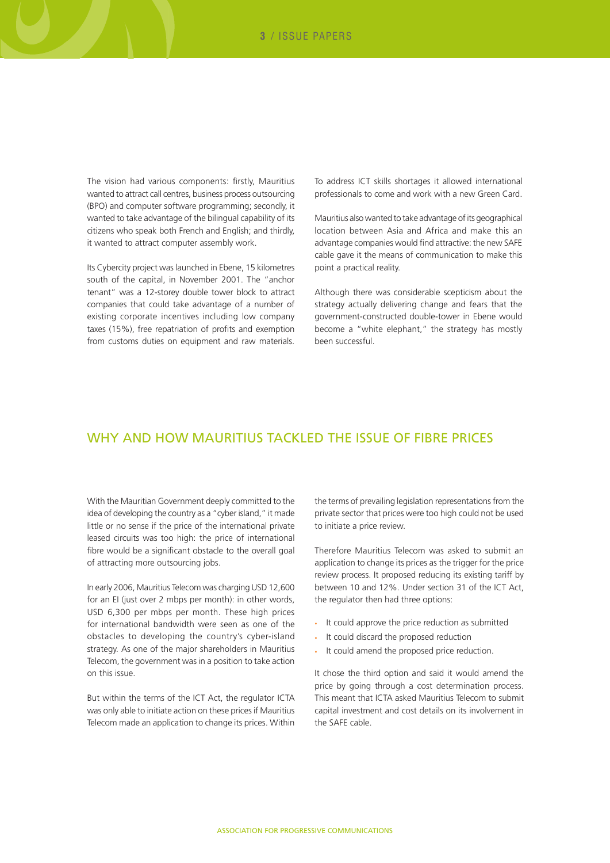The vision had various components: firstly, Mauritius wanted to attract call centres, business process outsourcing (BPO) and computer software programming; secondly, it wanted to take advantage of the bilingual capability of its citizens who speak both French and English; and thirdly, it wanted to attract computer assembly work.

Its Cybercity project was launched in Ebene, 15 kilometres south of the capital, in November 2001. The "anchor tenant" was a 12-storey double tower block to attract companies that could take advantage of a number of existing corporate incentives including low company taxes (15%), free repatriation of profits and exemption from customs duties on equipment and raw materials.

To address ICT skills shortages it allowed international professionals to come and work with a new Green Card.

Mauritius also wanted to take advantage of its geographical location between Asia and Africa and make this an advantage companies would find attractive: the new SAFE cable gave it the means of communication to make this point a practical reality.

Although there was considerable scepticism about the strategy actually delivering change and fears that the government-constructed double-tower in Ebene would become a "white elephant," the strategy has mostly been successful.

## WHY AND HOW MAURITIUS TACKLED THE ISSUE OF FIBRE PRICES

With the Mauritian Government deeply committed to the idea of developing the country as a "cyber island," it made little or no sense if the price of the international private leased circuits was too high: the price of international fibre would be a significant obstacle to the overall goal of attracting more outsourcing jobs.

In early 2006, Mauritius Telecom was charging USD 12,600 for an EI (just over 2 mbps per month): in other words, USD 6,300 per mbps per month. These high prices for international bandwidth were seen as one of the obstacles to developing the country's cyber-island strategy. As one of the major shareholders in Mauritius Telecom, the government was in a position to take action on this issue.

But within the terms of the ICT Act, the regulator ICTA was only able to initiate action on these prices if Mauritius Telecom made an application to change its prices. Within the terms of prevailing legislation representations from the private sector that prices were too high could not be used to initiate a price review.

Therefore Mauritius Telecom was asked to submit an application to change its prices as the trigger for the price review process. It proposed reducing its existing tariff by between 10 and 12%. Under section 31 of the ICT Act, the regulator then had three options:

- • It could approve the price reduction as submitted
- • It could discard the proposed reduction
- • It could amend the proposed price reduction.

It chose the third option and said it would amend the price by going through a cost determination process. This meant that ICTA asked Mauritius Telecom to submit capital investment and cost details on its involvement in the SAFE cable.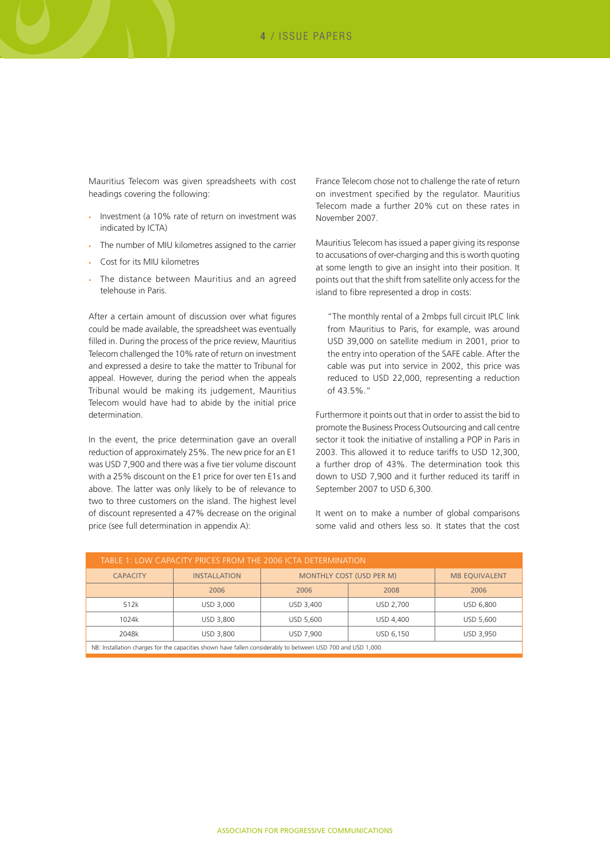Mauritius Telecom was given spreadsheets with cost headings covering the following:

- Investment (a 10% rate of return on investment was indicated by ICTA)
- The number of MIU kilometres assigned to the carrier
- Cost for its MIU kilometres
- The distance between Mauritius and an agreed telehouse in Paris.

After a certain amount of discussion over what figures could be made available, the spreadsheet was eventually filled in. During the process of the price review, Mauritius Telecom challenged the 10% rate of return on investment and expressed a desire to take the matter to Tribunal for appeal. However, during the period when the appeals Tribunal would be making its judgement, Mauritius Telecom would have had to abide by the initial price determination.

In the event, the price determination gave an overall reduction of approximately 25%. The new price for an E1 was USD 7,900 and there was a five tier volume discount with a 25% discount on the E1 price for over ten E1s and above. The latter was only likely to be of relevance to two to three customers on the island. The highest level of discount represented a 47% decrease on the original price (see full determination in appendix A):

France Telecom chose not to challenge the rate of return on investment specified by the regulator. Mauritius Telecom made a further 20% cut on these rates in November 2007.

Mauritius Telecom has issued a paper giving its response to accusations of over-charging and this is worth quoting at some length to give an insight into their position. It points out that the shift from satellite only access for the island to fibre represented a drop in costs:

"The monthly rental of a 2mbps full circuit IPLC link from Mauritius to Paris, for example, was around USD 39,000 on satellite medium in 2001, prior to the entry into operation of the SAFE cable. After the cable was put into service in 2002, this price was reduced to USD 22,000, representing a reduction of 43.5%."

Furthermore it points out that in order to assist the bid to promote the Business Process Outsourcing and call centre sector it took the initiative of installing a POP in Paris in 2003. This allowed it to reduce tariffs to USD 12,300, a further drop of 43%. The determination took this down to USD 7,900 and it further reduced its tariff in September 2007 to USD 6,300.

It went on to make a number of global comparisons some valid and others less so. It states that the cost

| TABLE 1: LOW CAPACITY PRICES FROM THE 2006 ICTA DETERMINATION                                                |                     |                                 |           |                      |
|--------------------------------------------------------------------------------------------------------------|---------------------|---------------------------------|-----------|----------------------|
| <b>CAPACITY</b>                                                                                              | <b>INSTALLATION</b> | <b>MONTHLY COST (USD PER M)</b> |           | <b>MB EOUIVALENT</b> |
|                                                                                                              | 2006                | 2006                            | 2008      | 2006                 |
| 512k                                                                                                         | USD 3,000           | USD 3.400                       | USD 2.700 | USD 6.800            |
| 1024k                                                                                                        | USD 3,800           | USD 5.600                       | USD 4.400 | USD 5,600            |
| 2048k                                                                                                        | USD 3,800           | USD 7.900                       | USD 6,150 | USD 3,950            |
| NB: Installation charges for the capacities shown have fallen considerably to between USD 700 and USD 1,000. |                     |                                 |           |                      |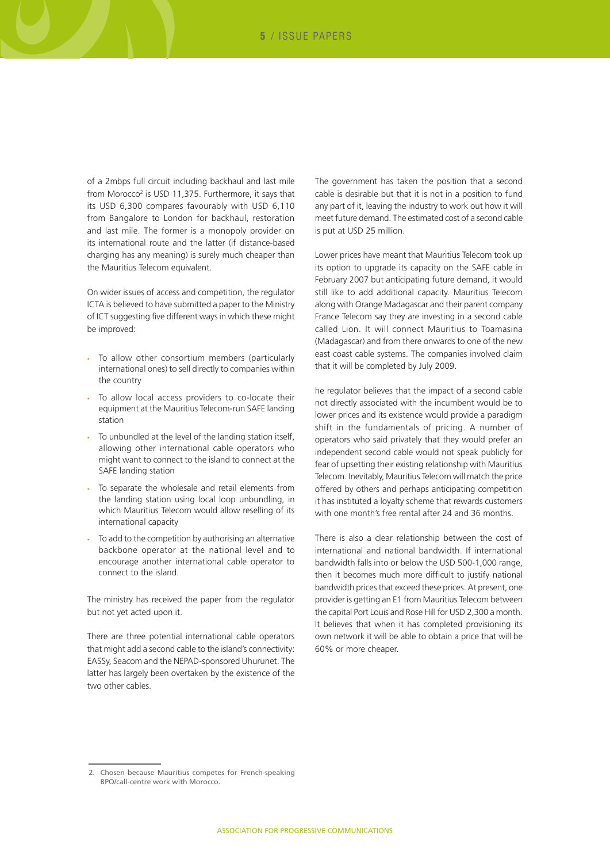of a 2mbps full circuit including backhaul and last mile from Morocco<sup>2</sup> is USD 11,375. Furthermore, it says that its USD 6,300 compares favourably with USD 6,110 from Bangalore to London for backhaul, restoration and last mile. The former is a monopoly provider on its international route and the latter (if distance-based charging has any meaning) is surely much cheaper than the Mauritius Telecom equivalent.

On wider issues of access and competition, the regulator ICTA is believed to have submitted a paper to the Ministry of ICT suggesting five different ways in which these might be improved:

- • To allow other consortium members (particularly international ones) to sell directly to companies within the country
- • To allow local access providers to co-locate their equipment at the Mauritius Telecom-run SAFE landing station
- To unbundled at the level of the landing station itself, allowing other international cable operators who might want to connect to the island to connect at the SAFE landing station
- • To separate the wholesale and retail elements from the landing station using local loop unbundling, in which Mauritius Telecom would allow reselling of its international capacity
- To add to the competition by authorising an alternative backbone operator at the national level and to encourage another international cable operator to connect to the island.

The ministry has received the paper from the regulator but not yet acted upon it.

There are three potential international cable operators that might add a second cable to the island's connectivity: EASSy, Seacom and the NEPAD-sponsored Uhurunet. The latter has largely been overtaken by the existence of the two other cables.

The government has taken the position that a second cable is desirable but that it is not in a position to fund any part of it, leaving the industry to work out how it will meet future demand. The estimated cost of a second cable is put at USD 25 million.

Lower prices have meant that Mauritius Telecom took up its option to upgrade its capacity on the SAFE cable in February 2007 but anticipating future demand, it would still like to add additional capacity. Mauritius Telecom along with Orange Madagascar and their parent company France Telecom say they are investing in a second cable called Lion. It will connect Mauritius to Toamasina (Madagascar) and from there onwards to one of the new east coast cable systems. The companies involved claim that it will be completed by July 2009.

he regulator believes that the impact of a second cable not directly associated with the incumbent would be to lower prices and its existence would provide a paradigm shift in the fundamentals of pricing. A number of operators who said privately that they would prefer an independent second cable would not speak publicly for fear of upsetting their existing relationship with Mauritius Telecom. Inevitably, Mauritius Telecom will match the price offered by others and perhaps anticipating competition it has instituted a loyalty scheme that rewards customers with one month's free rental after 24 and 36 months.

There is also a clear relationship between the cost of international and national bandwidth. If international bandwidth falls into or below the USD 500-1,000 range, then it becomes much more difficult to justify national bandwidth prices that exceed these prices. At present, one provider is getting an E1 from Mauritius Telecom between the capital Port Louis and Rose Hill for USD 2,300 a month. It believes that when it has completed provisioning its own network it will be able to obtain a price that will be 60% or more cheaper.

<sup>2.</sup> Chosen because Mauritius competes for French-speaking BPO/call-centre work with Morocco.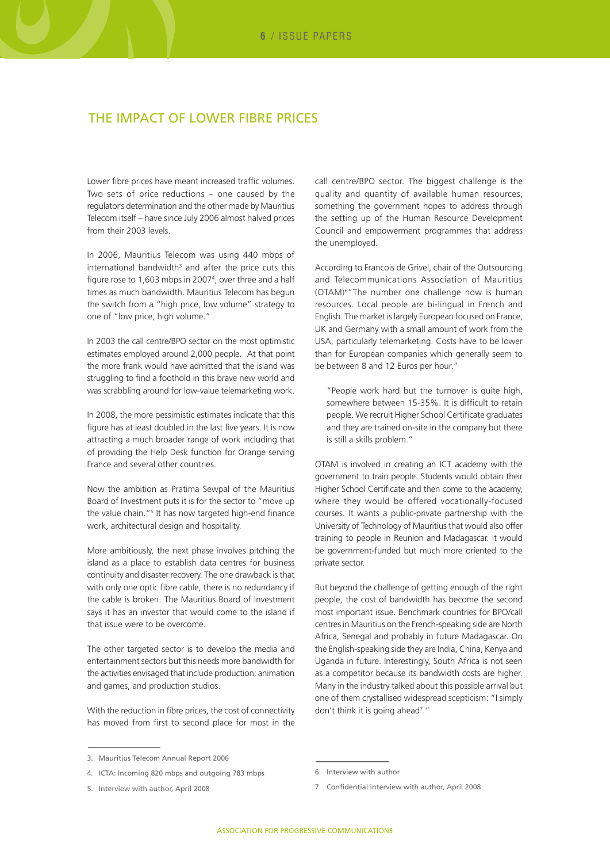## The impact of lower fibre prices

Lower fibre prices have meant increased traffic volumes. Two sets of price reductions – one caused by the regulator's determination and the other made by Mauritius Telecom itself – have since July 2006 almost halved prices from their 2003 levels.

In 2006, Mauritius Telecom was using 440 mbps of  $international$  bandwidth<sup>3</sup> and after the price cuts this figure rose to 1,603 mbps in 2007<sup>4</sup>, over three and a half times as much bandwidth. Mauritius Telecom has begun the switch from a "high price, low volume" strategy to one of "low price, high volume."

In 2003 the call centre/BPO sector on the most optimistic estimates employed around 2,000 people. At that point the more frank would have admitted that the island was struggling to find a foothold in this brave new world and was scrabbling around for low-value telemarketing work.

In 2008, the more pessimistic estimates indicate that this figure has at least doubled in the last five years. It is now attracting a much broader range of work including that of providing the Help Desk function for Orange serving France and several other countries.

Now the ambition as Pratima Sewpal of the Mauritius Board of Investment puts it is for the sector to "move up the value chain."<sup>5</sup> It has now targeted high-end finance work, architectural design and hospitality.

More ambitiously, the next phase involves pitching the island as a place to establish data centres for business continuity and disaster recovery. The one drawback is that with only one optic fibre cable, there is no redundancy if the cable is broken. The Mauritius Board of Investment says it has an investor that would come to the island if that issue were to be overcome.

The other targeted sector is to develop the media and entertainment sectors but this needs more bandwidth for the activities envisaged that include production; animation and games, and production studios.

With the reduction in fibre prices, the cost of connectivity has moved from first to second place for most in the

5. Interview with author, April 2008

call centre/BPO sector. The biggest challenge is the quality and quantity of available human resources, something the government hopes to address through the setting up of the Human Resource Development Council and empowerment programmes that address the unemployed.

According to Francois de Grivel, chair of the Outsourcing and Telecommunications Association of Mauritius (OTAM)6"The number one challenge now is human resources. Local people are bi-lingual in French and English. The market is largely European focused on France, UK and Germany with a small amount of work from the USA, particularly telemarketing. Costs have to be lower than for European companies which generally seem to be between 8 and 12 Euros per hour."

"People work hard but the turnover is quite high, somewhere between 15-35%. It is difficult to retain people. We recruit Higher School Certificate graduates and they are trained on-site in the company but there is still a skills problem."

OTAM is involved in creating an ICT academy with the government to train people. Students would obtain their Higher School Certificate and then come to the academy, where they would be offered vocationally-focused courses. It wants a public-private partnership with the University of Technology of Mauritius that would also offer training to people in Reunion and Madagascar. It would be government-funded but much more oriented to the private sector.

But beyond the challenge of getting enough of the right people, the cost of bandwidth has become the second most important issue. Benchmark countries for BPO/call centres in Mauritius on the French-speaking side are North Africa, Senegal and probably in future Madagascar. On the English-speaking side they are India, China, Kenya and Uganda in future. Interestingly, South Africa is not seen as a competitor because its bandwidth costs are higher. Many in the industry talked about this possible arrival but one of them crystallised widespread scepticism: "I simply don't think it is going ahead<sup>7</sup>."

<sup>3.</sup> Mauritius Telecom Annual Report 2006

<sup>4.</sup> ICTA: Incoming 820 mbps and outgoing 783 mbps

<sup>6.</sup> Interview with author

<sup>7.</sup> Confidential interview with author, April 2008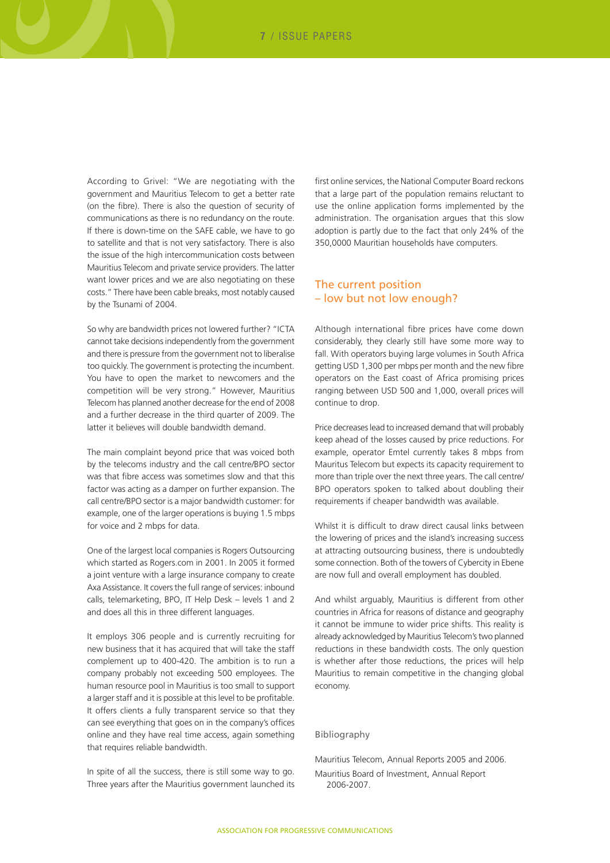According to Grivel: "We are negotiating with the government and Mauritius Telecom to get a better rate (on the fibre). There is also the question of security of communications as there is no redundancy on the route. If there is down-time on the SAFE cable, we have to go to satellite and that is not very satisfactory. There is also the issue of the high intercommunication costs between Mauritius Telecom and private service providers. The latter want lower prices and we are also negotiating on these costs." There have been cable breaks, most notably caused by the Tsunami of 2004.

So why are bandwidth prices not lowered further? "ICTA cannot take decisions independently from the government and there is pressure from the government not to liberalise too quickly. The government is protecting the incumbent. You have to open the market to newcomers and the competition will be very strong." However, Mauritius Telecom has planned another decrease for the end of 2008 and a further decrease in the third quarter of 2009. The latter it believes will double bandwidth demand.

The main complaint beyond price that was voiced both by the telecoms industry and the call centre/BPO sector was that fibre access was sometimes slow and that this factor was acting as a damper on further expansion. The call centre/BPO sector is a major bandwidth customer: for example, one of the larger operations is buying 1.5 mbps for voice and 2 mbps for data.

One of the largest local companies is Rogers Outsourcing which started as Rogers.com in 2001. In 2005 it formed a joint venture with a large insurance company to create Axa Assistance. It covers the full range of services: inbound calls, telemarketing, BPO, IT Help Desk – levels 1 and 2 and does all this in three different languages.

It employs 306 people and is currently recruiting for new business that it has acquired that will take the staff complement up to 400-420. The ambition is to run a company probably not exceeding 500 employees. The human resource pool in Mauritius is too small to support a larger staff and it is possible at this level to be profitable. It offers clients a fully transparent service so that they can see everything that goes on in the company's offices online and they have real time access, again something that requires reliable bandwidth.

In spite of all the success, there is still some way to go. Three years after the Mauritius government launched its first online services, the National Computer Board reckons that a large part of the population remains reluctant to use the online application forms implemented by the administration. The organisation argues that this slow adoption is partly due to the fact that only 24% of the 350,0000 Mauritian households have computers.

#### The current position – low but not low enough?

Although international fibre prices have come down considerably, they clearly still have some more way to fall. With operators buying large volumes in South Africa getting USD 1,300 per mbps per month and the new fibre operators on the East coast of Africa promising prices ranging between USD 500 and 1,000, overall prices will continue to drop.

Price decreases lead to increased demand that will probably keep ahead of the losses caused by price reductions. For example, operator Emtel currently takes 8 mbps from Mauritus Telecom but expects its capacity requirement to more than triple over the next three years. The call centre/ BPO operators spoken to talked about doubling their requirements if cheaper bandwidth was available.

Whilst it is difficult to draw direct causal links between the lowering of prices and the island's increasing success at attracting outsourcing business, there is undoubtedly some connection. Both of the towers of Cybercity in Ebene are now full and overall employment has doubled.

And whilst arguably, Mauritius is different from other countries in Africa for reasons of distance and geography it cannot be immune to wider price shifts. This reality is already acknowledged by Mauritius Telecom's two planned reductions in these bandwidth costs. The only question is whether after those reductions, the prices will help Mauritius to remain competitive in the changing global economy.

#### Bibliography

Mauritius Telecom, Annual Reports 2005 and 2006. Mauritius Board of Investment, Annual Report 2006-2007.